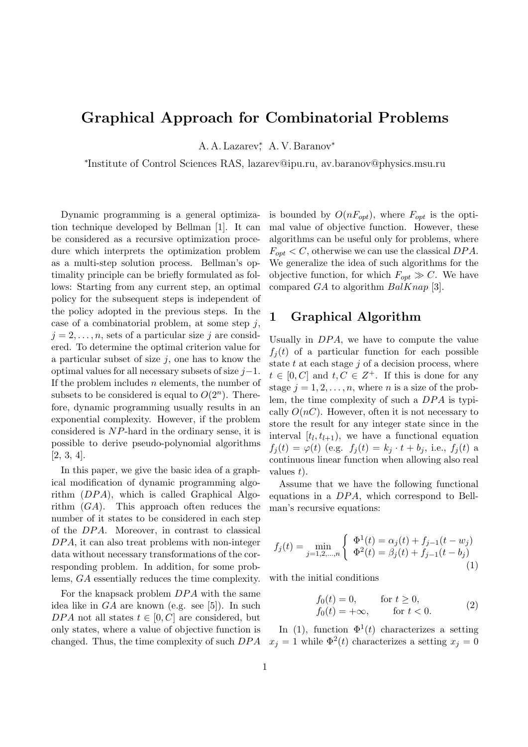# **Graphical Approach for Combinatorial Problems**

A. A. Lazarev*<sup>∗</sup>* , A. V. Baranov*<sup>∗</sup>*

*∗* Institute of Control Sciences RAS, lazarev@ipu.ru, av.baranov@physics.msu.ru

Dynamic programming is a general optimization technique developed by Bellman [1]. It can be considered as a recursive optimization procedure which interprets the optimization problem as a multi-step solution process. Bellman's optimality principle can be briefly formulated as follows: Starting from any current step, an optimal policy for the subsequent steps is independent of the policy adopted in the previous steps. In the case of a combinatorial problem, at some step *j*,  $j = 2, \ldots, n$ , sets of a particular size *j* are considered. To determine the optimal criterion value for a particular subset of size  $j$ , one has to know the optimal values for all necessary subsets of size *j−*1. If the problem includes *n* elements, the number of subsets to be considered is equal to  $O(2^n)$ . Therefore, dynamic programming usually results in an exponential complexity. However, if the problem considered is *NP*-hard in the ordinary sense, it is possible to derive pseudo-polynomial algorithms [2, 3, 4].

In this paper, we give the basic idea of a graphical modification of dynamic programming algorithm (*DP A*), which is called Graphical Algorithm (*GA*). This approach often reduces the number of it states to be considered in each step of the *DP A*. Moreover, in contrast to classical *DP A*, it can also treat problems with non-integer data without necessary transformations of the corresponding problem. In addition, for some problems, *GA* essentially reduces the time complexity.

For the knapsack problem *DP A* with the same idea like in *GA* are known (e.g. see [5]). In such *DPA* not all states  $t \in [0, C]$  are considered, but only states, where a value of objective function is changed. Thus, the time complexity of such *DP A* is bounded by  $O(nF_{opt})$ , where  $F_{opt}$  is the optimal value of objective function. However, these algorithms can be useful only for problems, where  $F_{opt} < C$ , otherwise we can use the classical  $DPA$ . We generalize the idea of such algorithms for the objective function, for which  $F_{opt} \gg C$ . We have compared *GA* to algorithm *BalKnap* [3].

## **1 Graphical Algorithm**

Usually in *DPA*, we have to compute the value  $f_i(t)$  of a particular function for each possible state *t* at each stage *j* of a decision process, where  $t \in [0, C]$  and  $t, C \in \mathbb{Z}^+$ . If this is done for any stage  $j = 1, 2, \ldots, n$ , where *n* is a size of the problem, the time complexity of such a *DP A* is typically  $O(nC)$ . However, often it is not necessary to store the result for any integer state since in the interval  $[t_l, t_{l+1})$ , we have a functional equation  $f_j(t) = \varphi(t)$  (e.g.  $f_j(t) = k_j \cdot t + b_j$ , i.e.,  $f_j(t)$  a continuous linear function when allowing also real values *t*).

Assume that we have the following functional equations in a *DP A*, which correspond to Bellman's recursive equations:

$$
f_j(t) = \min_{j=1,2,\dots,n} \begin{cases} \Phi^1(t) = \alpha_j(t) + f_{j-1}(t - w_j) \\ \Phi^2(t) = \beta_j(t) + f_{j-1}(t - b_j) \end{cases}
$$
(1)

with the initial conditions

$$
f_0(t) = 0,
$$
 for  $t \ge 0$ ,  
\n
$$
f_0(t) = +\infty,
$$
 for  $t < 0$ . (2)

In (1), function  $\Phi^1(t)$  characterizes a setting  $x_j = 1$  while  $\Phi^2(t)$  characterizes a setting  $x_j = 0$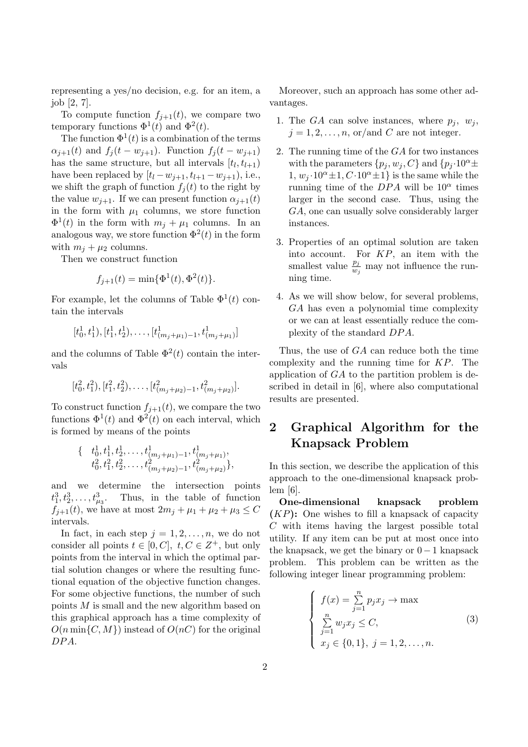representing a yes/no decision, e.g. for an item, a job [2, 7].

To compute function  $f_{i+1}(t)$ , we compare two temporary functions  $\Phi^1(t)$  and  $\Phi^2(t)$ .

The function  $\Phi^1(t)$  is a combination of the terms  $\alpha_{i+1}(t)$  and  $f_i(t - w_{i+1})$ . Function  $f_i(t - w_{i+1})$ has the same structure, but all intervals  $[t_l, t_{l+1})$ have been replaced by  $[t_l - w_{j+1}, t_{l+1} - w_{j+1}),$  i.e., we shift the graph of function  $f_j(t)$  to the right by the value  $w_{j+1}$ . If we can present function  $\alpha_{j+1}(t)$ in the form with  $\mu_1$  columns, we store function  $\Phi^1(t)$  in the form with  $m_j + \mu_1$  columns. In an analogous way, we store function  $\Phi^2(t)$  in the form with  $m_j + \mu_2$  columns.

Then we construct function

$$
f_{j+1}(t) = \min\{\Phi^1(t), \Phi^2(t)\}.
$$

For example, let the columns of Table  $\Phi^1(t)$  contain the intervals

$$
[t_0^1, t_1^1), [t_1^1, t_2^1), \ldots, [t_{(m_j + \mu_1) - 1}^1, t_{(m_j + \mu_1)}^1]
$$

and the columns of Table  $\Phi^2(t)$  contain the intervals

$$
[t_0^2, t_1^2), [t_1^2, t_2^2), \ldots, [t_{(m_j+\mu_2)-1}^2, t_{(m_j+\mu_2)}^2].
$$

To construct function  $f_{j+1}(t)$ , we compare the two functions  $\Phi^1(t)$  and  $\Phi^2(t)$  on each interval, which is formed by means of the points

$$
\begin{aligned} \{ \quad & t_0^1, t_1^1, t_2^1, \dots, t_{(m_j + \mu_1) - 1}^1, t_{(m_j + \mu_1)}^1, \\ & t_0^2, t_1^2, t_2^2, \dots, t_{(m_j + \mu_2) - 1}^2, t_{(m_j + \mu_2)}^2 \}, \end{aligned}
$$

and we determine the intersection points  $t_1^3, t_2^3, \ldots, t_{\mu_3}^3$ . Thus, in the table of function *f*<sub>*j*+1</sub>(*t*), we have at most  $2m_j + \mu_1 + \mu_2 + \mu_3 \leq C$ intervals.

In fact, in each step  $j = 1, 2, \ldots, n$ , we do not consider all points  $t \in [0, C]$ ,  $t, C \in \mathbb{Z}^+$ , but only points from the interval in which the optimal partial solution changes or where the resulting functional equation of the objective function changes. For some objective functions, the number of such points *M* is small and the new algorithm based on this graphical approach has a time complexity of  $O(n \min\{C, M\})$  instead of  $O(nC)$  for the original *DP A*.

Moreover, such an approach has some other advantages.

- 1. The *GA* can solve instances, where  $p_j$ ,  $w_j$ ,  $j = 1, 2, \ldots, n$ , or/and *C* are not integer.
- 2. The running time of the *GA* for two instances with the parameters  $\{p_i, w_i, C\}$  and  $\{p_i \cdot 10^\alpha \pm \}$  $1, w_j \cdot 10^\alpha \pm 1, C \cdot 10^\alpha \pm 1$ } is the same while the running time of the  $DPA$  will be  $10^{\alpha}$  times larger in the second case. Thus, using the *GA*, one can usually solve considerably larger instances.
- 3. Properties of an optimal solution are taken into account. For *KP*, an item with the smallest value  $\frac{p_j}{w_j}$  may not influence the running time.
- 4. As we will show below, for several problems, *GA* has even a polynomial time complexity or we can at least essentially reduce the complexity of the standard *DP A*.

Thus, the use of *GA* can reduce both the time complexity and the running time for *KP*. The application of *GA* to the partition problem is described in detail in [6], where also computational results are presented.

## **2 Graphical Algorithm for the Knapsack Problem**

In this section, we describe the application of this approach to the one-dimensional knapsack problem [6].

**One-dimensional knapsack problem (***KP***):** One wishes to fill a knapsack of capacity *C* with items having the largest possible total utility. If any item can be put at most once into the knapsack, we get the binary or 0 *−*1 knapsack problem. This problem can be written as the following integer linear programming problem:

$$
\begin{cases}\nf(x) = \sum_{j=1}^{n} p_j x_j \to \max \\
\sum_{j=1}^{n} w_j x_j \le C, \\
x_j \in \{0, 1\}, \ j = 1, 2, \dots, n.\n\end{cases}
$$
\n(3)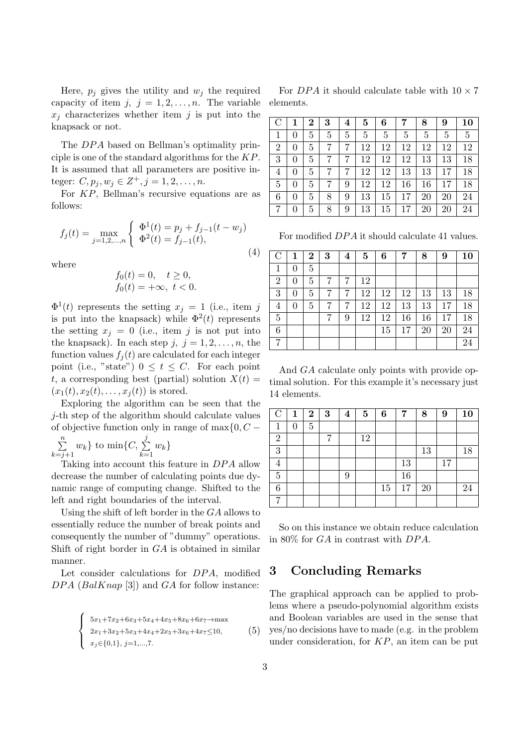Here,  $p_j$  gives the utility and  $w_j$  the required capacity of item  $j, j = 1, 2, \ldots, n$ . The variable  $x_i$  characterizes whether item  $j$  is put into the knapsack or not.

The *DPA* based on Bellman's optimality principle is one of the standard algorithms for the *KP*. It is assumed that all parameters are positive integer:  $C, p_j, w_j \in Z^+, j = 1, 2, \ldots, n$ .

For *KP*, Bellman's recursive equations are as follows:

$$
f_j(t) = \max_{j=1,2,\dots,n} \begin{cases} \Phi^1(t) = p_j + f_{j-1}(t - w_j) \\ \Phi^2(t) = f_{j-1}(t), \end{cases}
$$
(4)

where

$$
f_0(t) = 0, \quad t \ge 0, f_0(t) = +\infty, \ t < 0.
$$

 $\Phi^1(t)$  represents the setting  $x_j = 1$  (i.e., item *j* is put into the knapsack) while  $\Phi^2(t)$  represents the setting  $x_j = 0$  (i.e., item j is not put into the knapsack). In each step  $j, j = 1, 2, \ldots, n$ , the function values  $f_i(t)$  are calculated for each integer point (i.e., "state")  $0 \le t \le C$ . For each point *t*, a corresponding best (partial) solution  $X(t)$  =  $(x_1(t), x_2(t), \ldots, x_j(t))$  is stored.

Exploring the algorithm can be seen that the *j*-th step of the algorithm should calculate values of objective function only in range of max*{*0*, C −*

∑*n*  $\sum_{k=j+1}^{n} w_k$  to  $\min\{C, \sum_{k=1}^{j}$  $\sum_{k=1}^{\infty} w_k$ 

Taking into account this feature in *DP A* allow decrease the number of calculating points due dynamic range of computing change. Shifted to the left and right boundaries of the interval.

Using the shift of left border in the *GA* allows to essentially reduce the number of break points and consequently the number of "dummy" operations. Shift of right border in *GA* is obtained in similar manner.

Let consider calculations for *DPA*, modified *DP A* (*BalKnap* [3]) and *GA* for follow instance:

$$
\begin{cases}\n5x_1 + 7x_2 + 6x_3 + 5x_4 + 4x_5 + 8x_6 + 6x_7 \rightarrow \max \\
2x_1 + 3x_2 + 5x_3 + 4x_4 + 2x_5 + 3x_6 + 4x_7 \le 10, \\
x_j \in \{0, 1\}, j = 1, ..., 7.\n\end{cases}
$$
\n(5)

For *DPA* it should calculate table with  $10 \times 7$ elements.

| $\mathcal{C}$  |   | 2 | 3 | 4 | 5  | 6  | 7  | 8  | 9  | 10 |
|----------------|---|---|---|---|----|----|----|----|----|----|
|                | 0 | 5 | 5 | 5 | 5  | 5  | 5  | 5  | 5  | 5  |
| $\overline{2}$ | 0 | 5 |   |   | 12 | 12 | 12 | 12 | 12 | 12 |
| 3              | 0 | 5 |   | 7 | 12 | 12 | 12 | 13 | 13 | 18 |
| 4              | 0 | 5 | 7 | 7 | 12 | 12 | 13 | 13 | 17 | 18 |
| 5              | 0 | 5 |   | 9 | 12 | 12 | 16 | 16 | 17 | 18 |
| 6              |   | 5 | 8 | 9 | 13 | 15 | 17 | 20 | 20 | 24 |
|                |   | 5 | 8 | 9 | 13 | 15 | 17 | 20 | 20 | 24 |

For modified *DP A* it should calculate 41 values.

| $\overline{C}$ | 1 | $\bf{2}$ | 3 | $\overline{\mathbf{4}}$ | $\mathbf{5}$ | 6  | 7  | 8  | 9  | 10 |
|----------------|---|----------|---|-------------------------|--------------|----|----|----|----|----|
|                |   | 5        |   |                         |              |    |    |    |    |    |
| $\overline{2}$ | 0 | 5        |   |                         | 12           |    |    |    |    |    |
| 3              | 0 | 5        | 7 | 7                       | 12           | 12 | 12 | 13 | 13 | 18 |
| 4              |   | 5        |   | 7                       | 12           | 12 | 13 | 13 | 17 | 18 |
| 5              |   |          |   | 9                       | 12           | 12 | 16 | 16 | 17 | 18 |
| 6              |   |          |   |                         |              | 15 | 17 | 20 | 20 | 24 |
|                |   |          |   |                         |              |    |    |    |    | 24 |

And *GA* calculate only points with provide optimal solution. For this example it's necessary just 14 elements.

| $\mathcal{C}$  | 1 | $\bf{2}$ | 3 | 4 | $\bf{5}$ | 6  | 7  | 8      | 9  | 10 |
|----------------|---|----------|---|---|----------|----|----|--------|----|----|
| 1              | 0 | 5        |   |   |          |    |    |        |    |    |
| $\overline{2}$ |   |          |   |   | 12       |    |    |        |    |    |
| 3              |   |          |   |   |          |    |    | 13     |    | 18 |
| 4              |   |          |   |   |          |    | 13 |        | 17 |    |
| $\overline{5}$ |   |          |   | 9 |          |    | 16 |        |    |    |
| 6              |   |          |   |   |          | 15 | 17 | $20\,$ |    | 24 |
|                |   |          |   |   |          |    |    |        |    |    |

So on this instance we obtain reduce calculation in 80% for *GA* in contrast with *DP A*.

#### **3 Concluding Remarks**

The graphical approach can be applied to problems where a pseudo-polynomial algorithm exists and Boolean variables are used in the sense that yes/no decisions have to made (e.g. in the problem under consideration, for *KP*, an item can be put

 $\left($